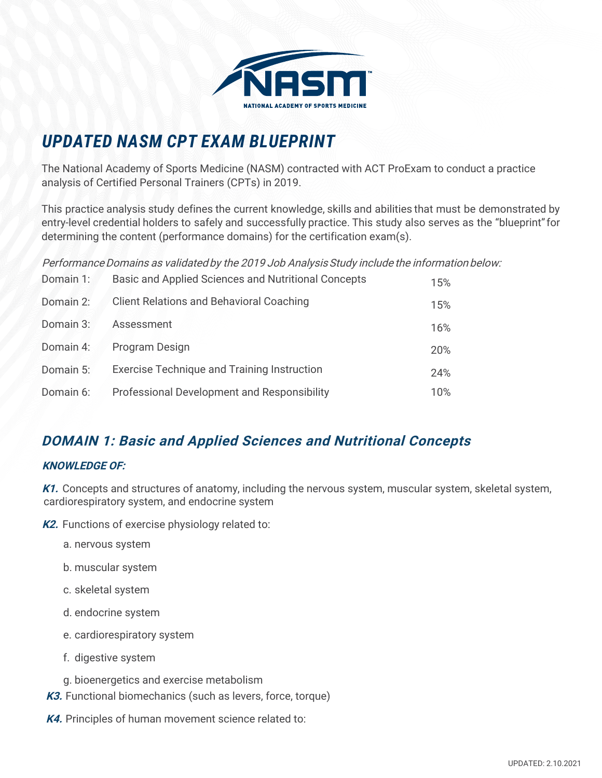

# *UPDATED NASM CPT EXAM BLUEPRINT*

The National Academy of Sports Medicine (NASM) contracted with ACT ProExam to conduct a practice analysis of Certified Personal Trainers (CPTs) in 2019.

This practice analysis study defines the current knowledge, skills and abilities that must be demonstrated by entry-level credential holders to safely and successfully practice. This study also serves as the "blueprint" for determining the content (performance domains) for the certification exam(s).

Performance Domains as validated by the 2019 Job Analysis Study include the information below:

| Domain 1: | Basic and Applied Sciences and Nutritional Concepts | 15% |
|-----------|-----------------------------------------------------|-----|
| Domain 2: | <b>Client Relations and Behavioral Coaching</b>     | 15% |
| Domain 3: | Assessment                                          | 16% |
| Domain 4: | Program Design                                      | 20% |
| Domain 5: | <b>Exercise Technique and Training Instruction</b>  | 24% |
| Domain 6: | Professional Development and Responsibility         | 10% |

# **DOMAIN 1: Basic and Applied Sciences and Nutritional Concepts**

#### **KNOWLEDGE OF:**

**K1.** Concepts and structures of anatomy, including the nervous system, muscular system, skeletal system, cardiorespiratory system, and endocrine system

**K2.** Functions of exercise physiology related to:

- a. nervous system
- b. muscular system
- c. skeletal system
- d. endocrine system
- e. cardiorespiratory system
- f. digestive system
- g. bioenergetics and exercise metabolism
- **K3.** Functional biomechanics (such as levers, force, torque)
- **K4.** Principles of human movement science related to: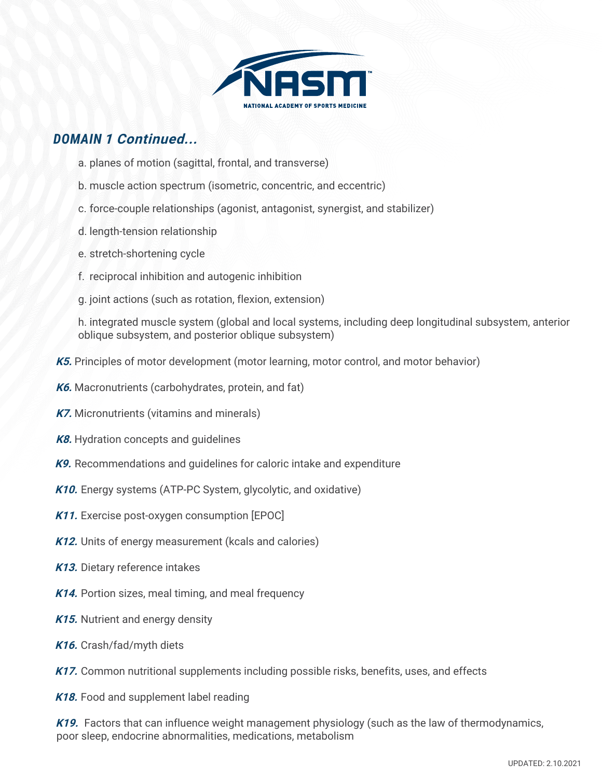

### *DOMAIN* **1 Continued...**

- a. planes of motion (sagittal, frontal, and transverse)
- b. muscle action spectrum (isometric, concentric, and eccentric)
- c. force-couple relationships (agonist, antagonist, synergist, and stabilizer)
- d. length-tension relationship
- e. stretch-shortening cycle
- f. reciprocal inhibition and autogenic inhibition
- g. joint actions (such as rotation, flexion, extension)

h. integrated muscle system (global and local systems, including deep longitudinal subsystem, anterior oblique subsystem, and posterior oblique subsystem)

- **K5.** Principles of motor development (motor learning, motor control, and motor behavior)
- **K6.** Macronutrients (carbohydrates, protein, and fat)
- **K7.** Micronutrients (vitamins and minerals)
- **K8.** Hydration concepts and guidelines
- **K9.** Recommendations and guidelines for caloric intake and expenditure
- **K10.** Energy systems (ATP-PC System, glycolytic, and oxidative)
- **K11.** Exercise post-oxygen consumption [EPOC]
- **K12.** Units of energy measurement (kcals and calories)
- **K13.** Dietary reference intakes
- **K14.** Portion sizes, meal timing, and meal frequency
- **K15.** Nutrient and energy density
- **K16.** Crash/fad/myth diets
- **K17.** Common nutritional supplements including possible risks, benefits, uses, and effects
- **K18.** Food and supplement label reading

**K19.** Factors that can influence weight management physiology (such as the law of thermodynamics, poor sleep, endocrine abnormalities, medications, metabolism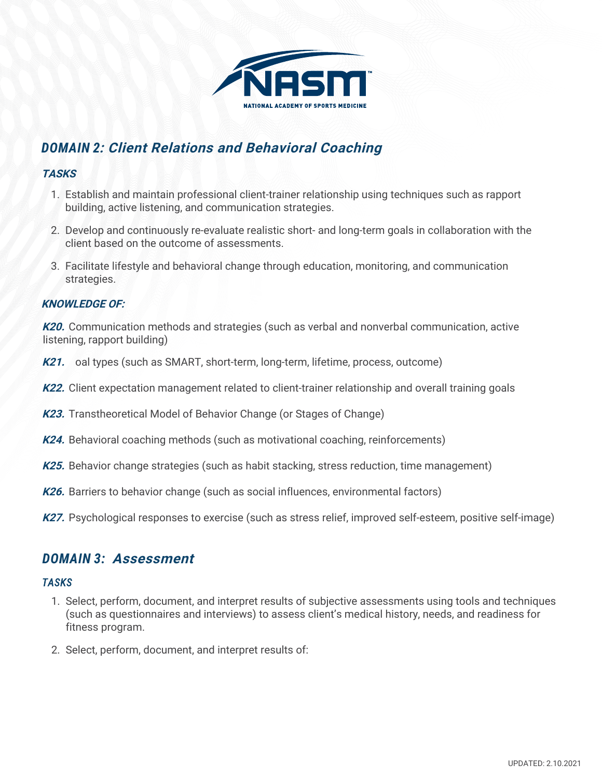

# *DOMAIN 2***: Client Relations and Behavioral Coaching**

#### **TASKS**

- 1. Establish and maintain professional client-trainer relationship using techniques such as rapport building, active listening, and communication strategies.
- 2. Develop and continuously re-evaluate realistic short- and long-term goals in collaboration with the client based on the outcome of assessments.
- 3. Facilitate lifestyle and behavioral change through education, monitoring, and communication strategies.

#### **KNOWLEDGE OF:**

**K20.** Communication methods and strategies (such as verbal and nonverbal communication, active listening, rapport building)

- **K21.** oal types (such as SMART, short-term, long-term, lifetime, process, outcome)
- **K22.** Client expectation management related to client-trainer relationship and overall training goals
- **K23.** Transtheoretical Model of Behavior Change (or Stages of Change)
- **K24.** Behavioral coaching methods (such as motivational coaching, reinforcements)
- **K25.** Behavior change strategies (such as habit stacking, stress reduction, time management)
- **K26.** Barriers to behavior change (such as social influences, environmental factors)
- K27. Psychological responses to exercise (such as stress relief, improved self-esteem, positive self-image)

### *DOMAIN 3:* **Assessment**

#### *TASKS*

- 1. Select, perform, document, and interpret results of subjective assessments using tools and techniques (such as questionnaires and interviews) to assess client's medical history, needs, and readiness for fitness program.
- 2. Select, perform, document, and interpret results of: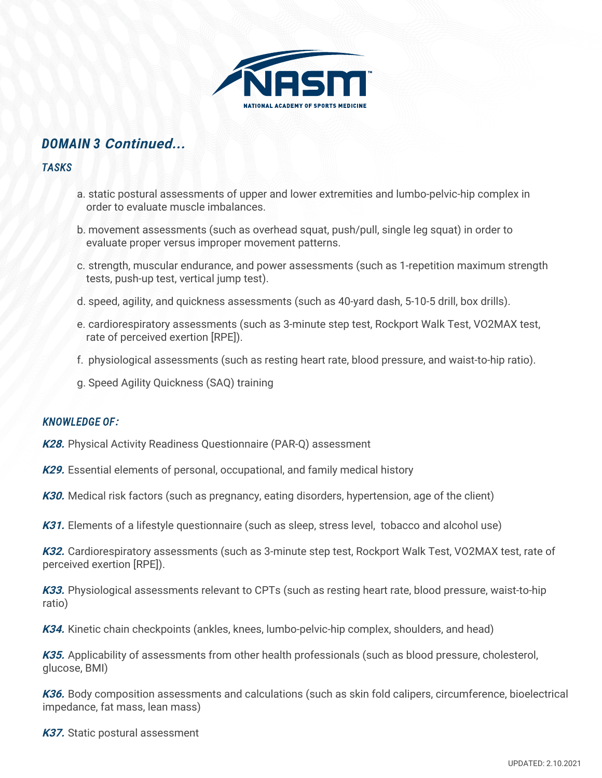

### *DOMAIN 3* **Continued...**

#### *TASKS*

- a. static postural assessments of upper and lower extremities and lumbo-pelvic-hip complex in order to evaluate muscle imbalances.
- b. movement assessments (such as overhead squat, push/pull, single leg squat) in order to evaluate proper versus improper movement patterns.
- c. strength, muscular endurance, and power assessments (such as 1-repetition maximum strength tests, push-up test, vertical jump test).
- d. speed, agility, and quickness assessments (such as 40-yard dash, 5-10-5 drill, box drills).
- e. cardiorespiratory assessments (such as 3-minute step test, Rockport Walk Test, VO2MAX test, rate of perceived exertion [RPE]).
- f. physiological assessments (such as resting heart rate, blood pressure, and waist-to-hip ratio).
- g. Speed Agility Quickness (SAQ) training

#### *KNOWLEDGE OF***:**

**K28.** Physical Activity Readiness Questionnaire (PAR-Q) assessment

**K29.** Essential elements of personal, occupational, and family medical history

**K30.** Medical risk factors (such as pregnancy, eating disorders, hypertension, age of the client)

**K31.** Elements of a lifestyle questionnaire (such as sleep, stress level, tobacco and alcohol use)

**K32.** Cardiorespiratory assessments (such as 3-minute step test, Rockport Walk Test, VO2MAX test, rate of perceived exertion [RPE]).

**K33.** Physiological assessments relevant to CPTs (such as resting heart rate, blood pressure, waist-to-hip ratio)

**K34.** Kinetic chain checkpoints (ankles, knees, lumbo-pelvic-hip complex, shoulders, and head)

**K35.** Applicability of assessments from other health professionals (such as blood pressure, cholesterol, glucose, BMI)

**K36.** Body composition assessments and calculations (such as skin fold calipers, circumference, bioelectrical impedance, fat mass, lean mass)

**K37.** Static postural assessment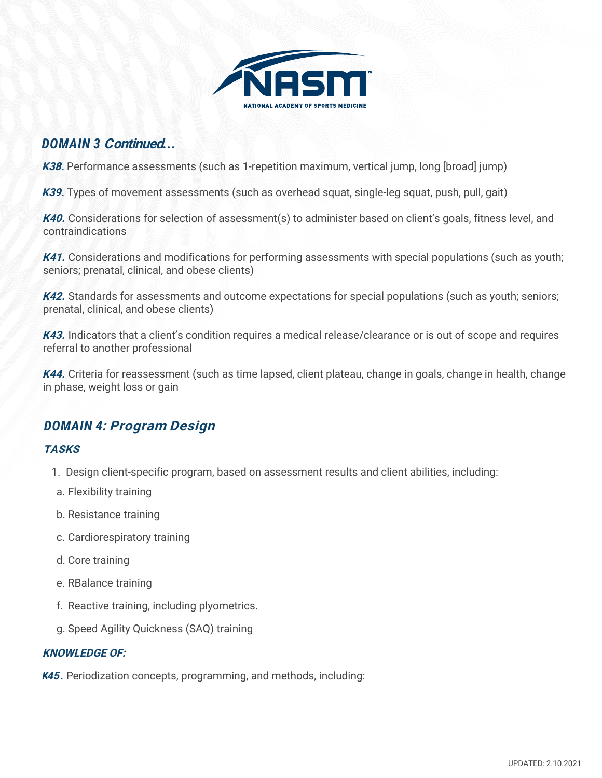

### *DOMAIN 3* **Continued***...*

K38. Performance assessments (such as 1-repetition maximum, vertical jump, long [broad] jump)

**K39.** Types of movement assessments (such as overhead squat, single-leg squat, push, pull, gait)

**K40.** Considerations for selection of assessment(s) to administer based on client's goals, fitness level, and contraindications

**K41.** Considerations and modifications for performing assessments with special populations (such as youth; seniors; prenatal, clinical, and obese clients)

K42. Standards for assessments and outcome expectations for special populations (such as youth; seniors; prenatal, clinical, and obese clients)

**K43.** Indicators that a client's condition requires a medical release/clearance or is out of scope and requires referral to another professional

**K44.** Criteria for reassessment (such as time lapsed, client plateau, change in goals, change in health, change in phase, weight loss or gain

### *DOMAIN 4***: Program Design**

#### **TASKS**

- 1. Design client-specific program, based on assessment results and client abilities, including:
- a. Flexibility training
- b. Resistance training
- c. Cardiorespiratory training
- d. Core training
- e. RBalance training
- f. Reactive training, including plyometrics.
- g. Speed Agility Quickness (SAQ) training

#### **KNOWLEDGE OF:**

*K***45** *.* Periodization concepts, programming, and methods, including: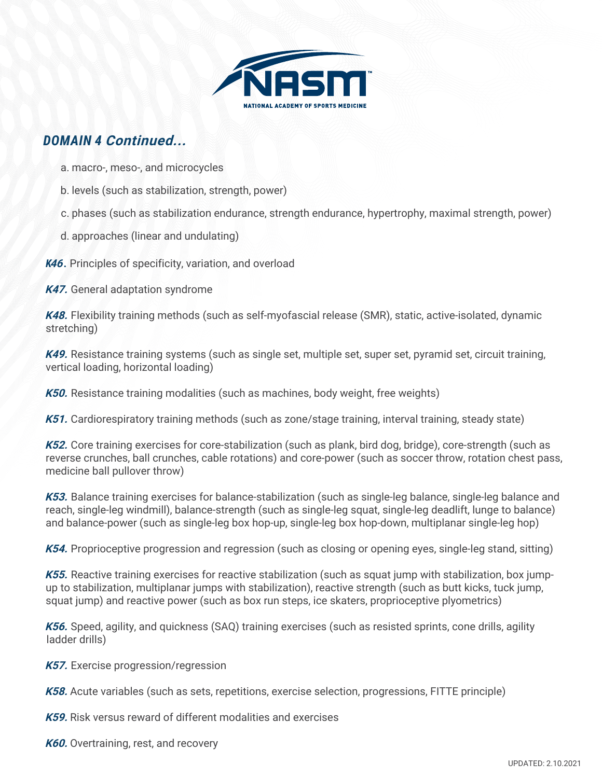

### *DOMAIN 4* **Continued...**

- a. macro-, meso-, and microcycles
- b. levels (such as stabilization, strength, power)
- c. phases (such as stabilization endurance, strength endurance, hypertrophy, maximal strength, power)
- d. approaches (linear and undulating)

*K***46** *.* Principles of specificity, variation, and overload

**K47.** General adaptation syndrome

**K48.** Flexibility training methods (such as self-myofascial release (SMR), static, active-isolated, dynamic stretching)

**K49.** Resistance training systems (such as single set, multiple set, super set, pyramid set, circuit training, vertical loading, horizontal loading)

**K50.** Resistance training modalities (such as machines, body weight, free weights)

**K51.** Cardiorespiratory training methods (such as zone/stage training, interval training, steady state)

**K52.** Core training exercises for core-stabilization (such as plank, bird dog, bridge), core-strength (such as reverse crunches, ball crunches, cable rotations) and core-power (such as soccer throw, rotation chest pass, medicine ball pullover throw)

**K53.** Balance training exercises for balance-stabilization (such as single-leg balance, single-leg balance and reach, single-leg windmill), balance-strength (such as single-leg squat, single-leg deadlift, lunge to balance) and balance-power (such as single-leg box hop-up, single-leg box hop-down, multiplanar single-leg hop)

**K54.** Proprioceptive progression and regression (such as closing or opening eyes, single-leg stand, sitting)

**K55.** Reactive training exercises for reactive stabilization (such as squat jump with stabilization, box jumpup to stabilization, multiplanar jumps with stabilization), reactive strength (such as butt kicks, tuck jump, squat jump) and reactive power (such as box run steps, ice skaters, proprioceptive plyometrics)

**K56.** Speed, agility, and quickness (SAQ) training exercises (such as resisted sprints, cone drills, agility ladder drills)

**K57.** Exercise progression/regression

**K58.** Acute variables (such as sets, repetitions, exercise selection, progressions, FITTE principle)

**K59.** Risk versus reward of different modalities and exercises

**K60.** Overtraining, rest, and recovery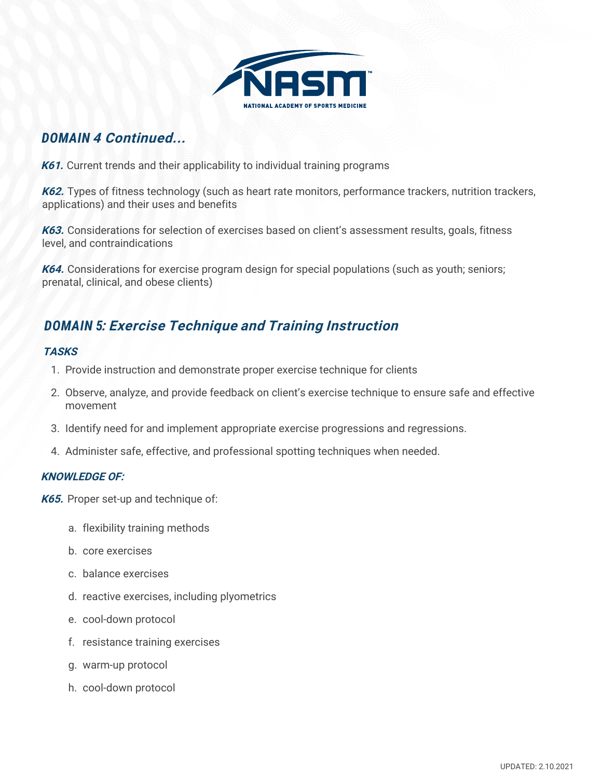

### *DOMAIN* **4 Continued...**

**K61.** Current trends and their applicability to individual training programs

**K62.** Types of fitness technology (such as heart rate monitors, performance trackers, nutrition trackers, applications) and their uses and benefits

**K63.** Considerations for selection of exercises based on client's assessment results, goals, fitness level, and contraindications

**K64.** Considerations for exercise program design for special populations (such as youth; seniors; prenatal, clinical, and obese clients)

## *DOMAIN 5***: Exercise Technique and Training Instruction**

#### **TASKS**

- 1. Provide instruction and demonstrate proper exercise technique for clients
- 2. Observe, analyze, and provide feedback on client's exercise technique to ensure safe and effective movement
- 3. Identify need for and implement appropriate exercise progressions and regressions.
- 4. Administer safe, effective, and professional spotting techniques when needed.

#### **KNOWLEDGE OF:**

- **K65.** Proper set-up and technique of:
	- a. flexibility training methods
	- b. core exercises
	- c. balance exercises
	- d. reactive exercises, including plyometrics
	- e. cool-down protocol
	- f. resistance training exercises
	- g. warm-up protocol
	- h. cool-down protocol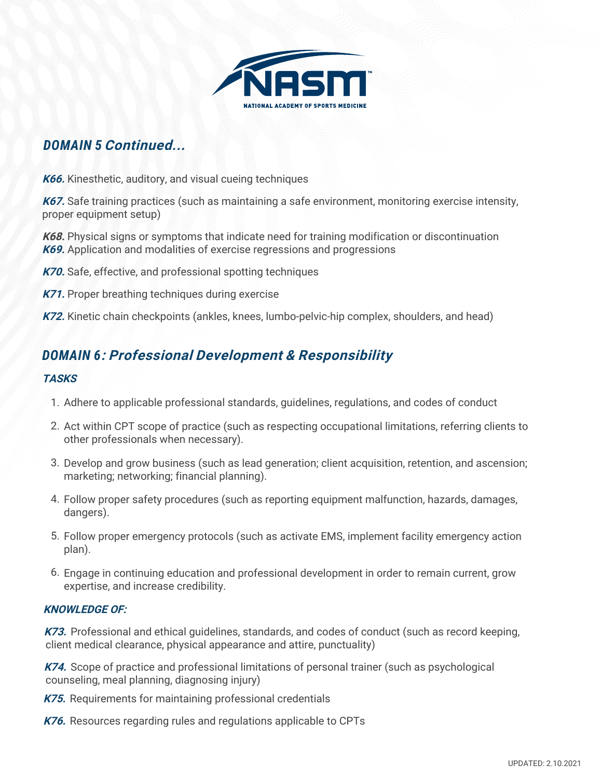

## *DOMAIN 5* **Continued...**

**K66.** Kinesthetic, auditory, and visual cueing techniques

**K67.** Safe training practices (such as maintaining a safe environment, monitoring exercise intensity, proper equipment setup)

**K68.** Physical signs or symptoms that indicate need for training modification or discontinuation **K69.** Application and modalities of exercise regressions and progressions

- **K70.** Safe, effective, and professional spotting techniques
- **K71.** Proper breathing techniques during exercise
- **K72.** Kinetic chain checkpoints (ankles, knees, lumbo-pelvic-hip complex, shoulders, and head)

### *DOMAIN 6***: Professional Development & Responsibility**

#### **TASKS**

- 1. Adhere to applicable professional standards, guidelines, regulations, and codes of conduct
- 2. Act within CPT scope of practice (such as respecting occupational limitations, referring clients to other professionals when necessary).
- 3. Develop and grow business (such as lead generation; client acquisition, retention, and ascension; marketing; networking; financial planning).
- 4. Follow proper safety procedures (such as reporting equipment malfunction, hazards, damages, dangers).
- 5. Follow proper emergency protocols (such as activate EMS, implement facility emergency action plan).
- 6. Engage in continuing education and professional development in order to remain current, grow expertise, and increase credibility.

#### **KNOWLEDGE OF:**

**K73.** Professional and ethical guidelines, standards, and codes of conduct (such as record keeping, client medical clearance, physical appearance and attire, punctuality)

**K74.** Scope of practice and professional limitations of personal trainer (such as psychological counseling, meal planning, diagnosing injury)

**K75.** Requirements for maintaining professional credentials

**K76.** Resources regarding rules and regulations applicable to CPTs